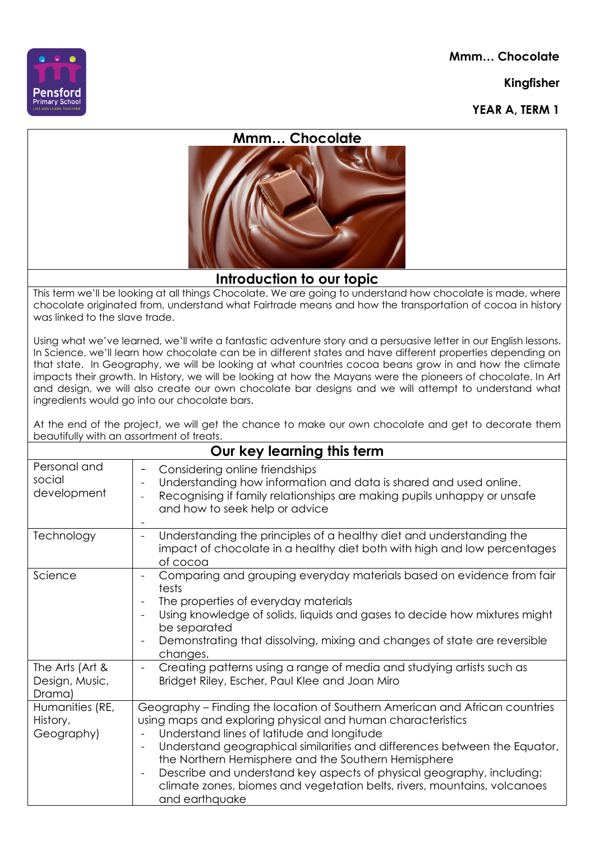**Mmm… Chocolate**

**Kingfisher**







## **Introduction to our topic**

This term we'll be looking at all things Chocolate. We are going to understand how chocolate is made, where chocolate originated from, understand what Fairtrade means and how the transportation of cocoa in history was linked to the slave trade.

Using what we've learned, we'll write a fantastic adventure story and a persuasive letter in our English lessons. In Science, we'll learn how chocolate can be in different states and have different properties depending on that state. In Geography, we will be looking at what countries cocoa beans grow in and how the climate impacts their growth. In History, we will be looking at how the Mayans were the pioneers of chocolate. In Art and design, we will also create our own chocolate bar designs and we will attempt to understand what ingredients would go into our chocolate bars.

At the end of the project, we will get the chance to make our own chocolate and get to decorate them beautifully with an assortment of treats.

| Our key learning this term                  |                                                                                                                                                                                                                                                                                                                                                                                                                                                                                                                                                             |
|---------------------------------------------|-------------------------------------------------------------------------------------------------------------------------------------------------------------------------------------------------------------------------------------------------------------------------------------------------------------------------------------------------------------------------------------------------------------------------------------------------------------------------------------------------------------------------------------------------------------|
| Personal and<br>social<br>development       | Considering online friendships<br>$\qquad \qquad -$<br>Understanding how information and data is shared and used online.<br>$\overline{\phantom{a}}$<br>Recognising if family relationships are making pupils unhappy or unsafe<br>and how to seek help or advice                                                                                                                                                                                                                                                                                           |
| Technology                                  | Understanding the principles of a healthy diet and understanding the<br>$\overline{\phantom{a}}$<br>impact of chocolate in a healthy diet both with high and low percentages<br>of cocoa                                                                                                                                                                                                                                                                                                                                                                    |
| Science                                     | Comparing and grouping everyday materials based on evidence from fair<br>$\overline{\phantom{a}}$<br>tests<br>The properties of everyday materials<br>$\overline{\phantom{a}}$<br>Using knowledge of solids, liquids and gases to decide how mixtures might<br>$\overline{\phantom{a}}$<br>be separated<br>Demonstrating that dissolving, mixing and changes of state are reversible<br>changes.                                                                                                                                                            |
| The Arts (Art &<br>Design, Music,<br>Drama) | Creating patterns using a range of media and studying artists such as<br>$\blacksquare$<br>Bridget Riley, Escher, Paul Klee and Joan Miro                                                                                                                                                                                                                                                                                                                                                                                                                   |
| Humanities (RE,<br>History,<br>Geography)   | Geography – Finding the location of Southern American and African countries<br>using maps and exploring physical and human characteristics<br>Understand lines of latitude and longitude<br>$\overline{\phantom{a}}$<br>Understand geographical similarities and differences between the Equator,<br>the Northern Hemisphere and the Southern Hemisphere<br>Describe and understand key aspects of physical geography, including:<br>$\overline{\phantom{a}}$<br>climate zones, biomes and vegetation belts, rivers, mountains, volcanoes<br>and earthquake |